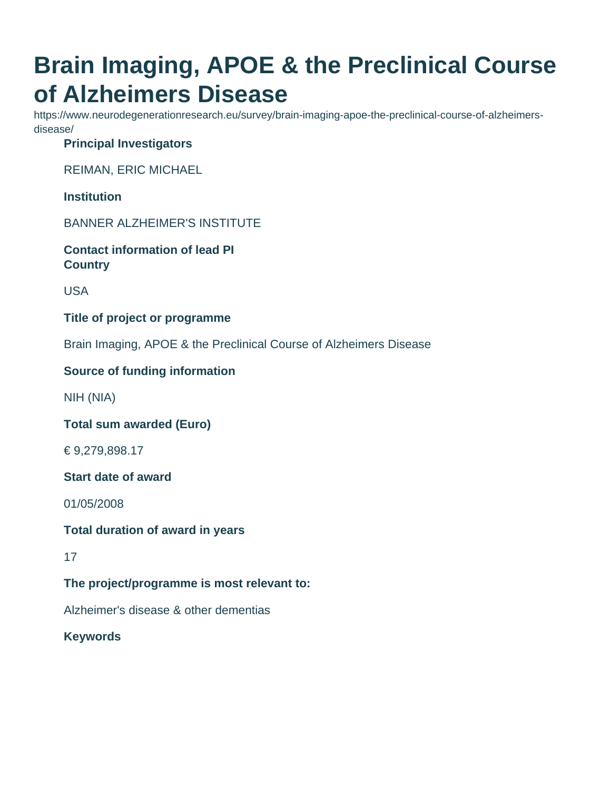# **Brain Imaging, APOE & the Preclinical Course of Alzheimers Disease**

https://www.neurodegenerationresearch.eu/survey/brain-imaging-apoe-the-preclinical-course-of-alzheimersdisease/

#### **Principal Investigators**

REIMAN, ERIC MICHAEL

**Institution**

BANNER ALZHEIMER'S INSTITUTE

**Contact information of lead PI Country**

USA

**Title of project or programme**

Brain Imaging, APOE & the Preclinical Course of Alzheimers Disease

#### **Source of funding information**

NIH (NIA)

**Total sum awarded (Euro)**

€ 9,279,898.17

**Start date of award**

01/05/2008

#### **Total duration of award in years**

17

## **The project/programme is most relevant to:**

Alzheimer's disease & other dementias

**Keywords**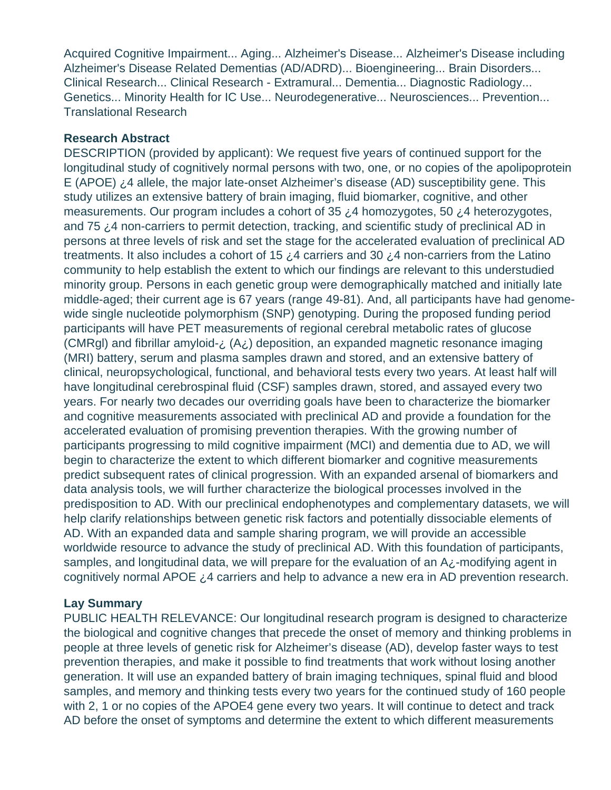Acquired Cognitive Impairment... Aging... Alzheimer's Disease... Alzheimer's Disease including Alzheimer's Disease Related Dementias (AD/ADRD)... Bioengineering... Brain Disorders... Clinical Research... Clinical Research - Extramural... Dementia... Diagnostic Radiology... Genetics... Minority Health for IC Use... Neurodegenerative... Neurosciences... Prevention... Translational Research

#### **Research Abstract**

DESCRIPTION (provided by applicant): We request five years of continued support for the longitudinal study of cognitively normal persons with two, one, or no copies of the apolipoprotein E (APOE) ¿4 allele, the major late-onset Alzheimer's disease (AD) susceptibility gene. This study utilizes an extensive battery of brain imaging, fluid biomarker, cognitive, and other measurements. Our program includes a cohort of 35 ¿4 homozygotes, 50 ¿4 heterozygotes, and 75 ¿4 non-carriers to permit detection, tracking, and scientific study of preclinical AD in persons at three levels of risk and set the stage for the accelerated evaluation of preclinical AD treatments. It also includes a cohort of 15  $\zeta$ 4 carriers and 30  $\zeta$ 4 non-carriers from the Latino community to help establish the extent to which our findings are relevant to this understudied minority group. Persons in each genetic group were demographically matched and initially late middle-aged; their current age is 67 years (range 49-81). And, all participants have had genomewide single nucleotide polymorphism (SNP) genotyping. During the proposed funding period participants will have PET measurements of regional cerebral metabolic rates of glucose (CMRgI) and fibrillar amyloid- $\lambda$  (A $\lambda$ ) deposition, an expanded magnetic resonance imaging (MRI) battery, serum and plasma samples drawn and stored, and an extensive battery of clinical, neuropsychological, functional, and behavioral tests every two years. At least half will have longitudinal cerebrospinal fluid (CSF) samples drawn, stored, and assayed every two years. For nearly two decades our overriding goals have been to characterize the biomarker and cognitive measurements associated with preclinical AD and provide a foundation for the accelerated evaluation of promising prevention therapies. With the growing number of participants progressing to mild cognitive impairment (MCI) and dementia due to AD, we will begin to characterize the extent to which different biomarker and cognitive measurements predict subsequent rates of clinical progression. With an expanded arsenal of biomarkers and data analysis tools, we will further characterize the biological processes involved in the predisposition to AD. With our preclinical endophenotypes and complementary datasets, we will help clarify relationships between genetic risk factors and potentially dissociable elements of AD. With an expanded data and sample sharing program, we will provide an accessible worldwide resource to advance the study of preclinical AD. With this foundation of participants, samples, and longitudinal data, we will prepare for the evaluation of an A¿-modifying agent in cognitively normal APOE ¿4 carriers and help to advance a new era in AD prevention research.

## **Lay Summary**

PUBLIC HEALTH RELEVANCE: Our longitudinal research program is designed to characterize the biological and cognitive changes that precede the onset of memory and thinking problems in people at three levels of genetic risk for Alzheimer's disease (AD), develop faster ways to test prevention therapies, and make it possible to find treatments that work without losing another generation. It will use an expanded battery of brain imaging techniques, spinal fluid and blood samples, and memory and thinking tests every two years for the continued study of 160 people with 2, 1 or no copies of the APOE4 gene every two years. It will continue to detect and track AD before the onset of symptoms and determine the extent to which different measurements